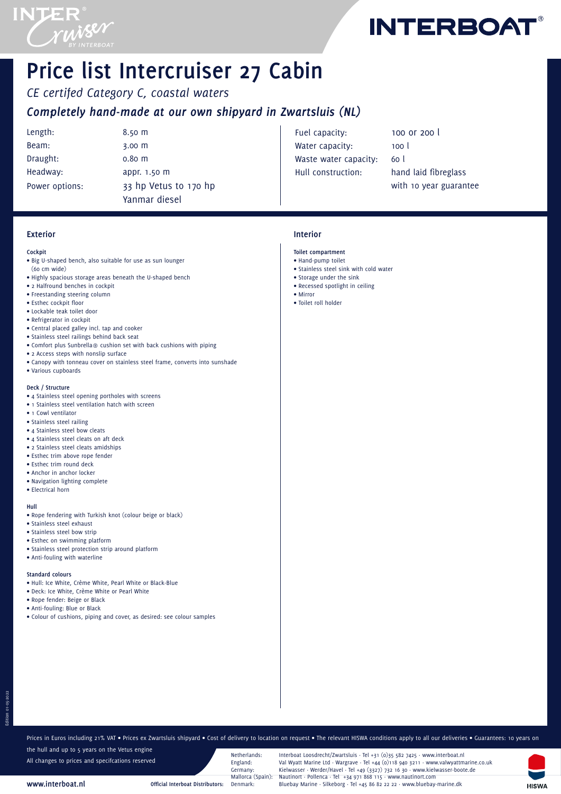

**INTERBOAT** 

# **Price list Intercruiser 27 Cabin**

*CE certifed Category C, coastal waters Completely hand-made at our own shipyard in Zwartsluis (NL)*

Length: 8.50 m Beam: 3.00 m Draught: 0.80 m Headway: appr. 1.50 m

Power options: 33 hp Vetus to 170 hp Yanmar diesel

Fuel capacity: 100 or 200 l Water capacity: 100 l Waste water capacity: 60 l Hull construction: hand laid fibreglass

with 10 year guarantee

## **Interior**

## **Toilet compartment**

- Hand-pump toilet
- Stainless steel sink with cold water
- Storage under the sink
- Recessed spotlight in ceiling • Mirror
- Toilet roll holder

**Cockpit**

**Exterior**

- Big U-shaped bench, also suitable for use as sun lounger (60 cm wide)
- Highly spacious storage areas beneath the U-shaped bench
- 2 Halfround benches in cockpit
- Freestanding steering column
- Esthec cockpit floor
- Lockable teak toilet door • Refrigerator in cockpit
- Central placed galley incl. tap and cooker
- Stainless steel railings behind back seat
- Comfort plus Sunbrella® cushion set with back cushions with piping
- 2 Access steps with nonslip surface
- Canopy with tonneau cover on stainless steel frame, converts into sunshade
- Various cupboards

#### **Deck / Structure**

- 4 Stainless steel opening portholes with screens
- 1 Stainless steel ventilation hatch with screen
- 1 Cowl ventilator
- Stainless steel railing
- 4 Stainless steel bow cleats
- 4 Stainless steel cleats on aft deck
- 2 Stainless steel cleats amidships
- Esthec trim above rope fender
- Esthec trim round deck
- Anchor in anchor locker
- Navigation lighting complete
- Electrical horn

#### **Hull**

Edition 01-05-2022

- Rope fendering with Turkish knot (colour beige or black)
- Stainless steel exhaust
- Stainless steel bow strip
- Esthec on swimming platform
- Stainless steel protection strip around platform
- Anti-fouling with waterline

## **Standard colours**

- Hull: Ice White, Crème White, Pearl White or Black-Blue
- Deck: Ice White, Crème White or Pearl White
- Rope fender: Beige or Black
- Anti-fouling: Blue or Black

**www.interboat.nl**

• Colour of cushions, piping and cover, as desired: see colour samples

the hull and up to 5 years on the Vetus engine All changes to prices and specifcations reserved

Prices in Euros including 21% VAT • Prices ex Zwartsluis shipyard • Cost of delivery to location on request • The relevant HISWA conditions apply to all our deliveries • Guarantees: 10 years on

Netherlands: Interboat Loosdrecht/Zwartsluis · Tel +31 (0)35 582 7425 · www.interboat.nl<br>England: Val Wyatt Marine Ltd · Wargrave · Tel +44 (0)118 940 3211 · www.valwyattm England: Val Wyatt Marine Ltd · Wargrave · Tel +44 (0)118 940 3211 · www.valwyattmarine.co.uk Germany: Kielwasser · Werder/Havel · Tel +49 (3327) 732 16 30 · www.kielwasser-boote.de<br>Mallorca (Spain): Nautinort · Pollenca · Tel +34 971 868 115 · www.nautinort.com Mallorca (Spain): Nautinort · Pollenca · Tel +34 971 868 115 · www.nautinort.com<br>• Official Interboat Distributors: Denmark: Bluebav Marine · Silkeborg · Tel +45 86 82 22 22 · www.bluebav **Official Interboat Distributors:** Denmark: Bluebay Marine · Silkeborg · Tel +45 86 82 22 22 · www.bluebay-marine.dk

**HISWA**